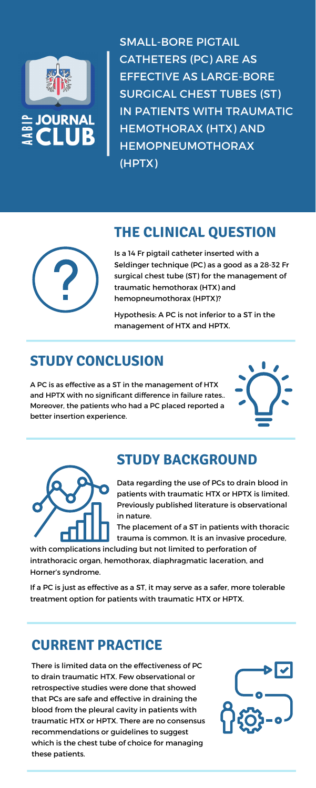

SURNAL

SMALL-BORE PIGTAIL CATHETERS (PC) ARE AS EFFECTIVE AS LARGE-BORE SURGICAL CHEST TUBES (ST) IN PATIENTS WITH TRAUMATIC HEMOTHORAX (HTX) AND HEMOPNEUMOTHORAX (HPTX)



### **THE CLINICAL QUESTION**

Is a 14 Fr pigtail catheter inserted with a Seldinger technique (PC) as a good as a 28-32 Fr surgical chest tube (ST) for the management of traumatic hemothorax (HTX) and hemopneumothorax (HPTX)?

Hypothesis: A PC is not inferior to a ST in the management of HTX and HPTX.

# **STUDY CONCLUSION**

A PC is as effective as a ST in the management of HTX and HPTX with no significant difference in failure rates.. Moreover, the patients who had a PC placed reported a better insertion experience.





# **STUDY BACKGROUND**



Data regarding the use of PCs to drain blood in patients with traumatic HTX or HPTX is limited. Previously published literature is observational in nature.

The placement of a ST in patients with thoracic trauma is common. It is an invasive procedure,

with complications including but not limited to perforation of intrathoracic organ, hemothorax, diaphragmatic laceration, and Horner's syndrome.

If a PC is just as effective as a ST, it may serve as a safer, more tolerable treatment option for patients with traumatic HTX or HPTX.

### **CURRENT PRACTICE**

There is limited data on the effectiveness of PC to drain traumatic HTX. Few observational or retrospective studies were done that showed that PCs are safe and effective in draining the blood from the pleural cavity in patients with traumatic HTX or HPTX. There are no consensus recommendations or guidelines to suggest which is the chest tube of choice for managing these patients.

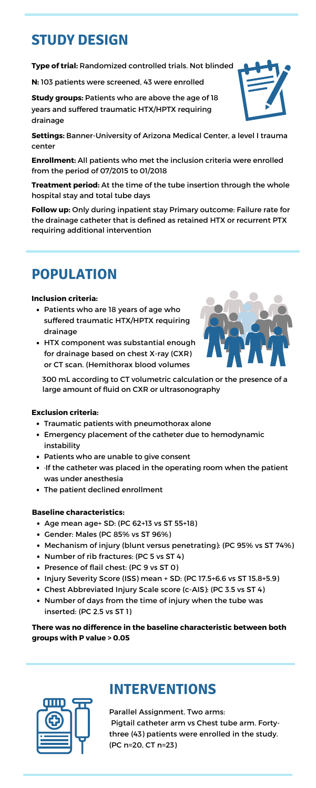# **STUDY DESIGN**

**Type of trial:** Randomized controlled trials. Not blinded

**N:** 103 patients were screened, 43 were enrolled

**Study groups:** Patients who are above the age of 18 years and suffered traumatic HTX/HPTX requiring drainage



**Settings:** Banner-University of Arizona Medical Center, a level I trauma center

**Enrollment:** All patients who met the inclusion criteria were enrolled from the period of 07/2015 to 01/2018

**Treatment period:** At the time of the tube insertion through the whole hospital stay and total tube days

**Follow up:** Only during inpatient stay Primary outcome: Failure rate for the drainage catheter that is defined as retained HTX or recurrent PTX requiring additional intervention

- Patients who are 18 years of age who suffered traumatic HTX/HPTX requiring drainage
- HTX component was substantial enough for drainage based on chest X-ray (CXR) or CT scan. (Hemithorax blood volumes



### **Inclusion criteria:**

# **POPULATION**

- Age mean age+ SD: (PC 62+13 vs ST 55+18)
- Gender: Males (PC 85% vs ST 96%)
- Mechanism of injury (blunt versus penetrating): (PC 95% vs ST 74%)
- Number of rib fractures: (PC 5 vs ST 4)
- Presence of flail chest: (PC 9 vs ST 0)
- $\bullet$  Injury Severity Score (ISS) mean  $+$  SD: (PC 17.5+6.6 vs ST 15.8+5.9)
- Chest Abbreviated Injury Scale score (c-AIS): (PC 3.5 vs ST 4)
- Number of days from the time of injury when the tube was inserted: (PC 2.5 vs ST 1)

#### **Baseline characteristics:**

- Traumatic patients with pneumothorax alone
- Emergency placement of the catheter due to hemodynamic instability
- Patients who are unable to give consent
- ·If the catheter was placed in the operating room when the patient

was under anesthesia

The patient declined enrollment

### **Exclusion criteria:**

300 mL according to CT volumetric calculation or the presence of a large amount of fluid on CXR or ultrasonography

#### **There was no difference in the baseline characteristic between both groups with P value > 0.05**



Parallel Assignment. Two arms: Pigtail catheter arm vs Chest tube arm. Fortythree (43) patients were enrolled in the study. (PC n=20, CT n=23)

# **INTERVENTIONS**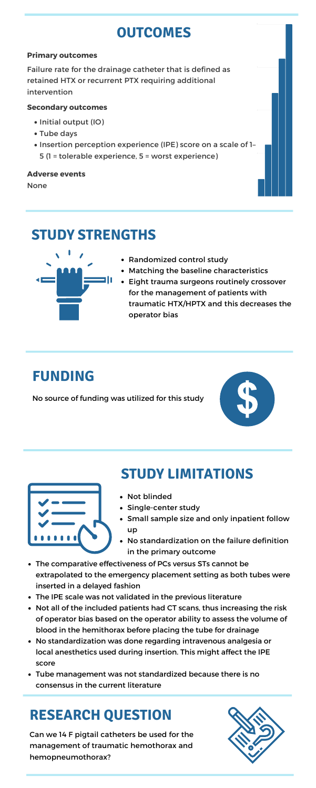# **STUDY STRENGTHS**



- Randomized control study
- Matching the baseline characteristics
- Eight trauma surgeons routinely crossover for the management of patients with traumatic HTX/HPTX and this decreases the operator bias

## **FUNDING**

No source of funding was utilized for this study



# **OUTCOMES**

- Initial output (IO)
- Tube days
- Insertion perception experience (IPE) score on a scale of 1-5 (1 = tolerable experience, 5 = worst experience) 25

#### **Primary outcomes**

Failure rate for the drainage catheter that is defined as retained HTX or recurrent PTX requiring additional intervention

#### **Secondary outcomes**

#### **Adverse events**

None

0



### **STUDY LIMITATIONS**

- Not blinded
- Single-center study
- Small sample size and only inpatient follow up
- No standardization on the failure definition in the primary outcome
- The comparative effectiveness of PCs versus STs cannot be extrapolated to the emergency placement setting as both tubes were inserted in a delayed fashion
- The IPE scale was not validated in the previous literature
- Not all of the included patients had CT scans, thus increasing the risk of operator bias based on the operator ability to assess the volume of blood in the hemithorax before placing the tube for drainage
- No standardization was done regarding intravenous analgesia or local anesthetics used during insertion. This might affect the IPE score
- Tube management was not standardized because there is no consensus in the current literature

Can we 14 F pigtail catheters be used for the management of traumatic hemothorax and hemopneumothorax?



# **RESEARCH QUESTION**